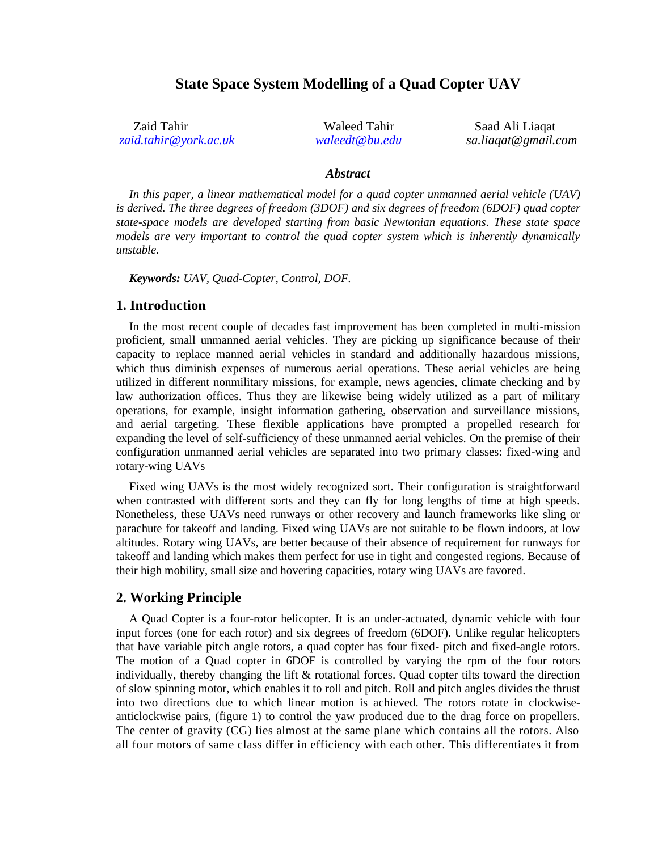# **State Space System Modelling of a Quad Copter UAV**

 Zaid Tahir Waleed Tahir Saad Ali Liaqat *[zaid.tahir@york.ac.uk](mailto:zaid.tahir@york.ac.uk) [waleedt@bu.edu](mailto:waleedt@bu.edu) sa.liaqat@gmail.com*

### *Abstract*

*In this paper, a linear mathematical model for a quad copter unmanned aerial vehicle (UAV) is derived. The three degrees of freedom (3DOF) and six degrees of freedom (6DOF) quad copter state-space models are developed starting from basic Newtonian equations. These state space models are very important to control the quad copter system which is inherently dynamically unstable.*

*Keywords: UAV, Quad-Copter, Control, DOF.*

## **1. Introduction**

In the most recent couple of decades fast improvement has been completed in multi-mission proficient, small unmanned aerial vehicles. They are picking up significance because of their capacity to replace manned aerial vehicles in standard and additionally hazardous missions, which thus diminish expenses of numerous aerial operations. These aerial vehicles are being utilized in different nonmilitary missions, for example, news agencies, climate checking and by law authorization offices. Thus they are likewise being widely utilized as a part of military operations, for example, insight information gathering, observation and surveillance missions, and aerial targeting. These flexible applications have prompted a propelled research for expanding the level of self-sufficiency of these unmanned aerial vehicles. On the premise of their configuration unmanned aerial vehicles are separated into two primary classes: fixed-wing and rotary-wing UAVs

Fixed wing UAVs is the most widely recognized sort. Their configuration is straightforward when contrasted with different sorts and they can fly for long lengths of time at high speeds. Nonetheless, these UAVs need runways or other recovery and launch frameworks like sling or parachute for takeoff and landing. Fixed wing UAVs are not suitable to be flown indoors, at low altitudes. Rotary wing UAVs, are better because of their absence of requirement for runways for takeoff and landing which makes them perfect for use in tight and congested regions. Because of their high mobility, small size and hovering capacities, rotary wing UAVs are favored.

## **2. Working Principle**

A Quad Copter is a four-rotor helicopter. It is an under-actuated, dynamic vehicle with four input forces (one for each rotor) and six degrees of freedom (6DOF). Unlike regular helicopters that have variable pitch angle rotors, a quad copter has four fixed- pitch and fixed-angle rotors. The motion of a Quad copter in 6DOF is controlled by varying the rpm of the four rotors individually, thereby changing the lift  $\&$  rotational forces. Quad copter tilts toward the direction of slow spinning motor, which enables it to roll and pitch. Roll and pitch angles divides the thrust into two directions due to which linear motion is achieved. The rotors rotate in clockwiseanticlockwise pairs, (figure 1) to control the yaw produced due to the drag force on propellers. The center of gravity (CG) lies almost at the same plane which contains all the rotors. Also all four motors of same class differ in efficiency with each other. This differentiates it from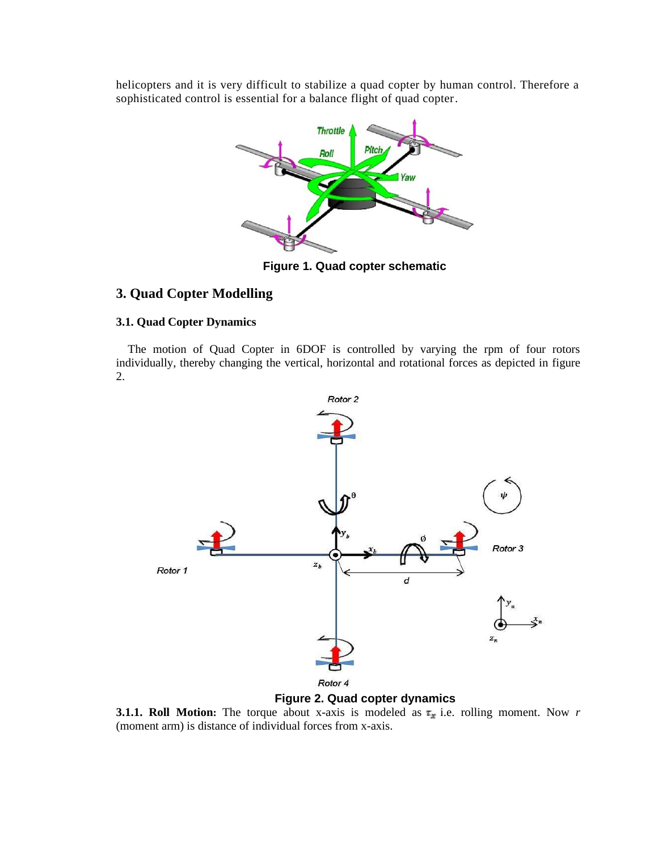helicopters and it is very difficult to stabilize a quad copter by human control. Therefore a sophisticated control is essential for a balance flight of quad copter.



**Figure 1. Quad copter schematic**

# **3. Quad Copter Modelling**

### **3.1. Quad Copter Dynamics**

 The motion of Quad Copter in 6DOF is controlled by varying the rpm of four rotors individually, thereby changing the vertical, horizontal and rotational forces as depicted in figure 2.



**Figure 2. Quad copter dynamics**

**3.1.1. Roll Motion:** The torque about x-axis is modeled as  $\tau_x$  i.e. rolling moment. Now *r* (moment arm) is distance of individual forces from x-axis.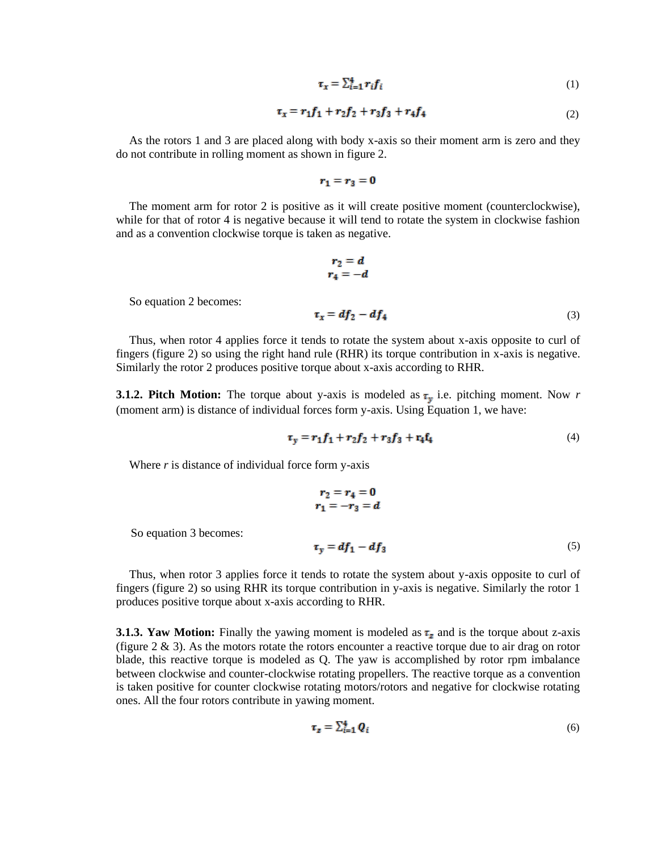$$
\tau_x = \sum_{i=1}^4 r_i f_i \tag{1}
$$

$$
\tau_x = r_1 f_1 + r_2 f_2 + r_3 f_3 + r_4 f_4 \tag{2}
$$

As the rotors 1 and 3 are placed along with body x-axis so their moment arm is zero and they do not contribute in rolling moment as shown in figure 2.

$$
r_1=r_3=0
$$

The moment arm for rotor 2 is positive as it will create positive moment (counterclockwise), while for that of rotor 4 is negative because it will tend to rotate the system in clockwise fashion and as a convention clockwise torque is taken as negative.

$$
r_2 = d
$$
  

$$
r_4 = -d
$$

So equation 2 becomes:

So equation 3 becomes:

$$
\tau_x = df_2 - df_4 \tag{3}
$$

Thus, when rotor 4 applies force it tends to rotate the system about x-axis opposite to curl of fingers (figure 2) so using the right hand rule (RHR) its torque contribution in x-axis is negative. Similarly the rotor 2 produces positive torque about x-axis according to RHR.

**3.1.2. Pitch Motion:** The torque about y-axis is modeled as  $\tau_y$  i.e. pitching moment. Now *r* (moment arm) is distance of individual forces form y-axis. Using Equation 1, we have:

$$
\tau_y = r_1 f_1 + r_2 f_2 + r_3 f_3 + r_4 f_4 \tag{4}
$$

Where *r* is distance of individual force form y-axis

$$
r_2 = r_4 = 0
$$
  
\n
$$
r_1 = -r_3 = d
$$
  
\nSo equation 3 becomes:  
\n
$$
\tau_y = df_1 - df_3
$$
\n(5)

Thus, when rotor 3 applies force it tends to rotate the system about y-axis opposite to curl of fingers (figure 2) so using RHR its torque contribution in y-axis is negative. Similarly the rotor 1 produces positive torque about x-axis according to RHR.

**3.1.3. Yaw Motion:** Finally the yawing moment is modeled as  $\tau_z$  and is the torque about z-axis (figure  $2 \& 3$ ). As the motors rotate the rotors encounter a reactive torque due to air drag on rotor blade, this reactive torque is modeled as Q. The yaw is accomplished by rotor rpm imbalance between clockwise and counter-clockwise rotating propellers. The reactive torque as a convention is taken positive for counter clockwise rotating motors/rotors and negative for clockwise rotating ones. All the four rotors contribute in yawing moment.

$$
\boldsymbol{\tau}_z = \sum_{i=1}^4 \boldsymbol{Q}_i \tag{6}
$$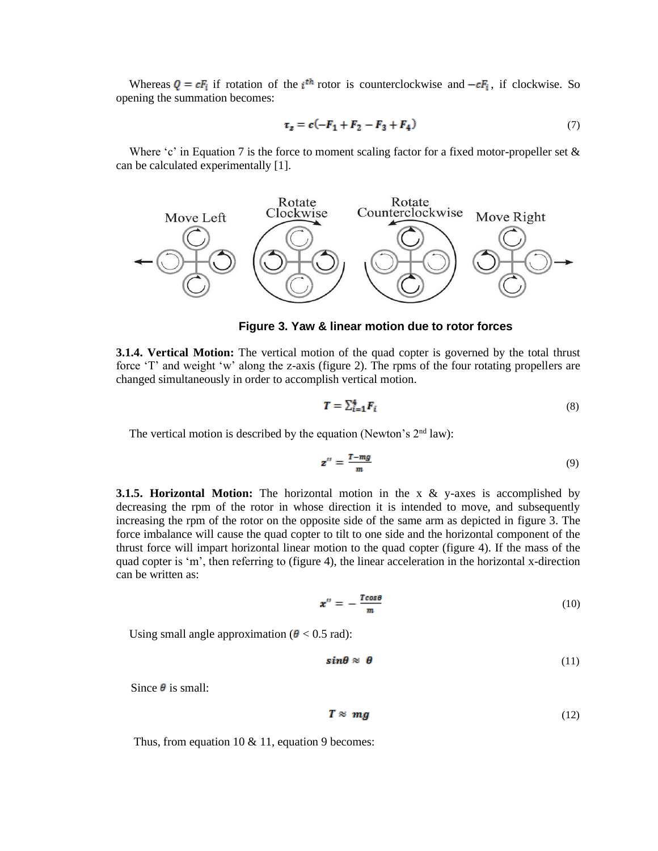Whereas  $q = cF_i$  if rotation of the *i*<sup>th</sup> rotor is counterclockwise and  $-cF_i$ , if clockwise. So opening the summation becomes:

$$
\tau_z = c(-F_1 + F_2 - F_3 + F_4) \tag{7}
$$

Where 'c' in Equation 7 is the force to moment scaling factor for a fixed motor-propeller set  $\&$ can be calculated experimentally [1].



**Figure 3. Yaw & linear motion due to rotor forces**

**3.1.4. Vertical Motion:** The vertical motion of the quad copter is governed by the total thrust force 'T' and weight 'w' along the z-axis (figure 2). The rpms of the four rotating propellers are changed simultaneously in order to accomplish vertical motion.

$$
T = \sum_{i=1}^{4} F_i \tag{8}
$$

The vertical motion is described by the equation (Newton's  $2<sup>nd</sup>$  law):

$$
z'' = \frac{T - mg}{m} \tag{9}
$$

**3.1.5. Horizontal Motion:** The horizontal motion in the x & y-axes is accomplished by decreasing the rpm of the rotor in whose direction it is intended to move, and subsequently increasing the rpm of the rotor on the opposite side of the same arm as depicted in figure 3. The force imbalance will cause the quad copter to tilt to one side and the horizontal component of the thrust force will impart horizontal linear motion to the quad copter (figure 4). If the mass of the quad copter is 'm', then referring to (figure 4), the linear acceleration in the horizontal x-direction can be written as:

$$
x'' = -\frac{T\cos\theta}{m} \tag{10}
$$

Using small angle approximation ( $\theta$  < 0.5 rad):

$$
\sin\theta \approx \theta \tag{11}
$$

Since  $\theta$  is small:

$$
T \approx mg \tag{12}
$$

Thus, from equation  $10 \& 11$ , equation 9 becomes: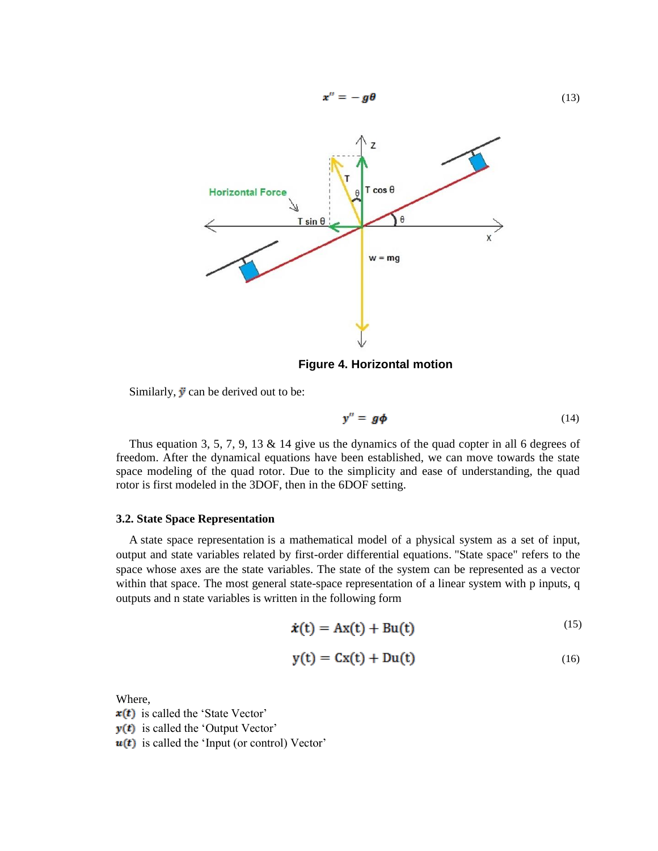

**Figure 4. Horizontal motion**

Similarly,  $\ddot{y}$  can be derived out to be:

$$
y'' = g\phi \tag{14}
$$

Thus equation 3, 5, 7, 9, 13 & 14 give us the dynamics of the quad copter in all 6 degrees of freedom. After the dynamical equations have been established, we can move towards the state space modeling of the quad rotor. Due to the simplicity and ease of understanding, the quad rotor is first modeled in the 3DOF, then in the 6DOF setting.

#### **3.2. State Space Representation**

A state space representation is a mathematical model of a physical system as a set of input, output and state variables related by first-order differential equations. "State space" refers to the space whose axes are the state variables. The state of the system can be represented as a vector within that space. The most general state-space representation of a linear system with p inputs, q outputs and n state variables is written in the following form

$$
\dot{\boldsymbol{x}}(t) = Ax(t) + Bu(t) \tag{15}
$$

$$
y(t) = Cx(t) + Du(t)
$$
 (16)

Where,

- $x(t)$  is called the 'State Vector'
- $v(t)$  is called the 'Output Vector'

 $u(t)$  is called the 'Input (or control) Vector'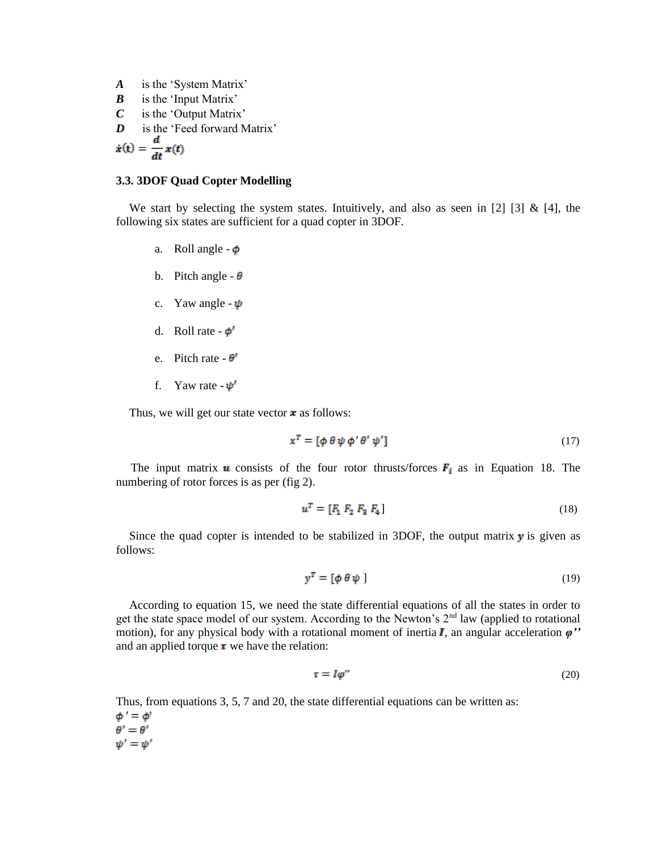- *A*is the 'System Matrix'
- *B*is the 'Input Matrix'
- *C*is the 'Output Matrix'
- *D*is the 'Feed forward Matrix'

$$
\dot{\mathbf{x}}(\mathbf{t}) = \frac{a}{dt}\mathbf{x}(t)
$$

#### **3.3. 3DOF Quad Copter Modelling**

We start by selecting the system states. Intuitively, and also as seen in [2] [3] & [4], the following six states are sufficient for a quad copter in 3DOF.

- a. Roll angle  $-\phi$
- b. Pitch angle  $\theta$
- c. Yaw angle  $\psi$
- d. Roll rate  $\phi'$
- e. Pitch rate  $\theta'$
- f. Yaw rate  $\psi'$

Thus, we will get our state vector  $\boldsymbol{\cdot}$  as follows:

$$
x^T = [\phi \ \theta \ \psi \ \phi' \ \theta' \ \psi'] \tag{17}
$$

The input matrix **u** consists of the four rotor thrusts/forces  $\mathbf{F}_i$  as in Equation 18. The numbering of rotor forces is as per (fig 2).

$$
u^T = [F_1 \ F_2 \ F_3 \ F_4] \tag{18}
$$

Since the quad copter is intended to be stabilized in 3DOF, the output matrix  $\bf{y}$  is given as follows:

$$
y^T = [\phi \ \theta \ \psi \ ] \tag{19}
$$

According to equation 15, we need the state differential equations of all the states in order to get the state space model of our system. According to the Newton's 2nd law (applied to rotational motion), for any physical body with a rotational moment of inertia  $\bm{I}$ , an angular acceleration  $\varphi$ <sup>"</sup> and an applied torque  $\tau$  we have the relation:

$$
\tau = I\varphi''\tag{20}
$$

Thus, from equations 3, 5, 7 and 20, the state differential equations can be written as:

 $\phi' = \phi'$  $\theta' = \theta'$  $\psi' = \psi'$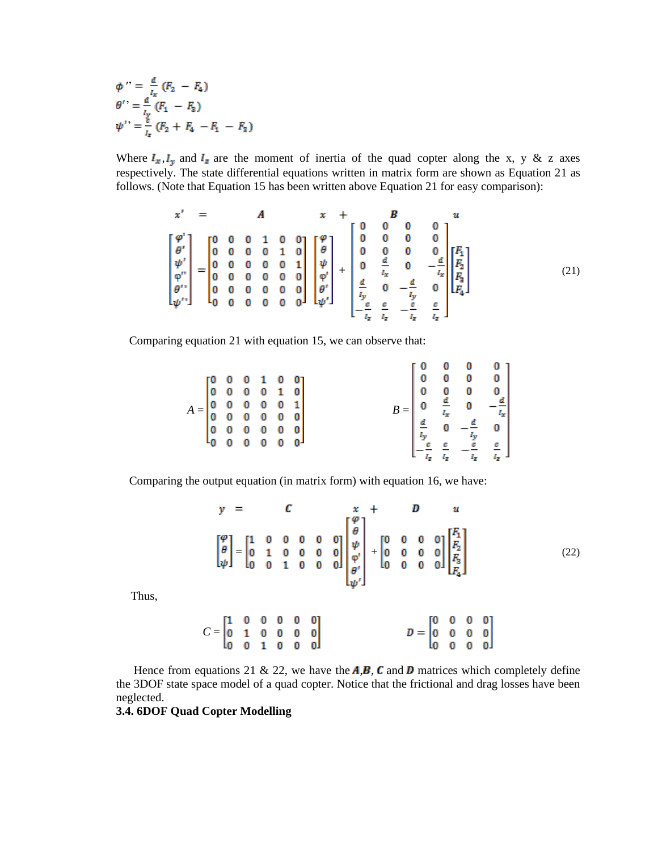$$
\begin{aligned} \phi \text{''} &= \frac{d}{l_x} \left( F_2 - F_4 \right) \\ \theta \text{''} &= \frac{d}{l_y} \left( F_1 - F_3 \right) \\ \psi \text{''} &= \frac{e}{l_x} \left( F_2 + F_4 - F_1 - F_3 \right) \end{aligned}
$$

Where  $I_x, I_y$  and  $I_z$  are the moment of inertia of the quad copter along the x, y & z axes respectively. The state differential equations written in matrix form are shown as Equation 21 as follows. (Note that Equation 15 has been written above Equation 21 for easy comparison):

$$
x' = A \t x + B \t B \t u
$$
  
\n
$$
\begin{bmatrix} \varphi' \\ \theta' \\ \psi' \\ \varphi'' \\ \varphi'' \end{bmatrix} = \begin{bmatrix} 0 & 0 & 0 & 1 & 0 & 0 \\ 0 & 0 & 0 & 0 & 1 & 0 \\ 0 & 0 & 0 & 0 & 0 & 1 \\ 0 & 0 & 0 & 0 & 0 & 0 \\ 0 & 0 & 0 & 0 & 0 & 0 \\ 0 & 0 & 0 & 0 & 0 & 0 \\ 0 & 0 & 0 & 0 & 0 & 0 \end{bmatrix} \begin{bmatrix} \varphi \\ \theta \\ \psi \\ \varphi' \\ \varphi' \end{bmatrix} + \begin{bmatrix} 0 & 0 & 0 & 0 & 0 \\ 0 & 0 & 0 & 0 & 0 \\ 0 & 0 & 0 & 0 & 0 \\ 0 & \frac{d}{l_x} & 0 & -\frac{d}{l_x} \\ \frac{d}{l_y} & 0 & -\frac{d}{l_y} & 0 \\ -\frac{c}{l_x} & \frac{c}{l_x} & -\frac{c}{l_x} & \frac{c}{l_x} \end{bmatrix} \begin{bmatrix} F_1 \\ F_2 \\ F_3 \\ F_4 \end{bmatrix}
$$
(21)

Comparing equation 21 with equation 15, we can observe that:

$$
A = \begin{bmatrix} 0 & 0 & 0 & 1 & 0 & 0 \\ 0 & 0 & 0 & 0 & 1 & 0 \\ 0 & 0 & 0 & 0 & 0 & 1 \\ 0 & 0 & 0 & 0 & 0 & 0 \\ 0 & 0 & 0 & 0 & 0 & 0 \\ 0 & 0 & 0 & 0 & 0 & 0 \end{bmatrix} \qquad B = \begin{bmatrix} 0 & 0 & 0 & 0 & 0 \\ 0 & 0 & 0 & 0 & 0 \\ 0 & \frac{d}{l_x} & 0 & -\frac{d}{l_x} \\ \frac{d}{l_y} & 0 & -\frac{d}{l_y} & 0 \\ -\frac{c}{l_x} & \frac{c}{l_x} & -\frac{c}{l_x} & \frac{c}{l_x} \end{bmatrix}
$$

Comparing the output equation (in matrix form) with equation 16, we have:

$$
y = C \t\t x + D \t u
$$
  

$$
\begin{bmatrix} \varphi \\ \theta \\ \psi \end{bmatrix} = \begin{bmatrix} 1 & 0 & 0 & 0 & 0 & 0 \\ 0 & 1 & 0 & 0 & 0 & 0 \\ 0 & 0 & 1 & 0 & 0 & 0 \end{bmatrix} \begin{bmatrix} \varphi \\ \psi \\ \psi \\ \varphi' \end{bmatrix} + \begin{bmatrix} 0 & 0 & 0 & 0 & 0 \\ 0 & 0 & 0 & 0 & 0 \\ 0 & 0 & 0 & 0 & 0 \end{bmatrix} \begin{bmatrix} F_1 \\ F_2 \\ F_3 \\ F_4 \end{bmatrix}
$$
 (22)

Thus,

$$
C = \begin{bmatrix} 1 & 0 & 0 & 0 & 0 & 0 \\ 0 & 1 & 0 & 0 & 0 & 0 \\ 0 & 0 & 1 & 0 & 0 & 0 \end{bmatrix} \qquad D = \begin{bmatrix} 0 & 0 & 0 & 0 \\ 0 & 0 & 0 & 0 \\ 0 & 0 & 0 & 0 \end{bmatrix}
$$

Hence from equations 21 & 22, we have the  $A, B, C$  and D matrices which completely define the 3DOF state space model of a quad copter. Notice that the frictional and drag losses have been neglected.

### **3.4. 6DOF Quad Copter Modelling**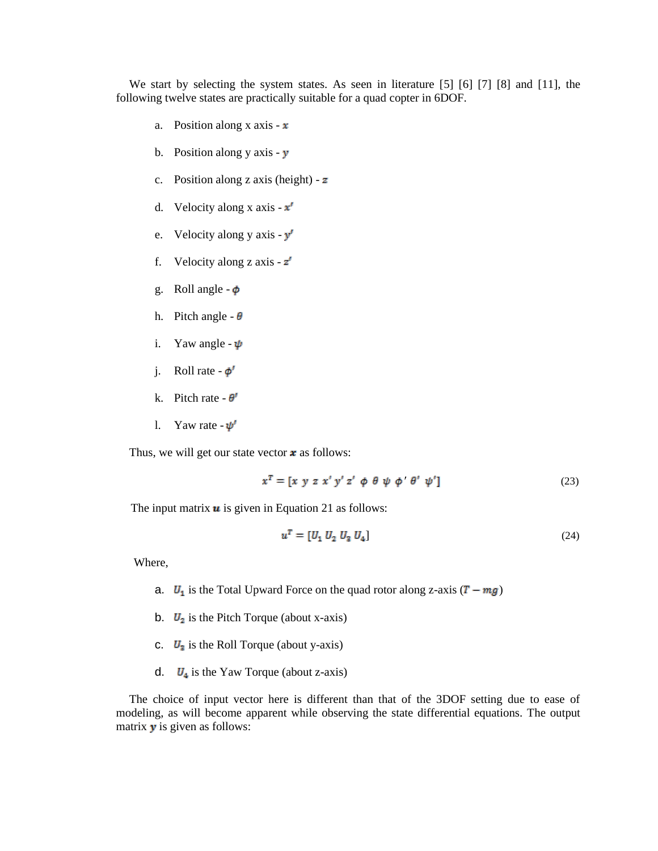We start by selecting the system states. As seen in literature [5] [6] [7] [8] and [11], the following twelve states are practically suitable for a quad copter in 6DOF.

- a. Position along x axis  $\boldsymbol{x}$
- b. Position along  $y$  axis  $y$
- c. Position along z axis (height)  $\overline{z}$
- d. Velocity along x axis  $x'$
- e. Velocity along y axis  $y'$
- f. Velocity along z axis  $z'$
- g. Roll angle  $\phi$
- h. Pitch angle  $\theta$
- i. Yaw angle  $\psi$
- j. Roll rate  $\phi'$
- k. Pitch rate  $\theta'$
- 1. Yaw rate  $\psi'$

Thus, we will get our state vector  $\boldsymbol{\cdot}$  as follows:

$$
x^T = [x \ y \ z \ x' \ y' \ z' \ \phi \ \theta \ \psi \ \phi' \ \theta' \ \psi'] \tag{23}
$$

The input matrix  $\boldsymbol{u}$  is given in Equation 21 as follows:

$$
u^T = [U_1 \ U_2 \ U_3 \ U_4] \tag{24}
$$

Where,

- a.  $U_1$  is the Total Upward Force on the quad rotor along z-axis ( $T mg$ )
- b.  $U_2$  is the Pitch Torque (about x-axis)
- c.  $U_3$  is the Roll Torque (about y-axis)
- d.  $U_4$  is the Yaw Torque (about z-axis)

The choice of input vector here is different than that of the 3DOF setting due to ease of modeling, as will become apparent while observing the state differential equations. The output matrix  $\bf{y}$  is given as follows: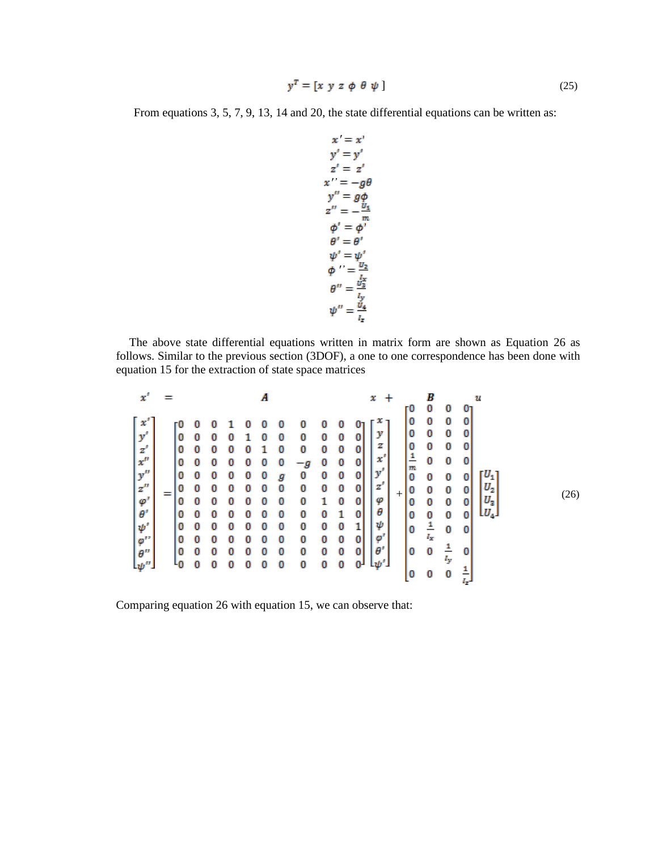$$
y^T = [x \ y \ z \ \phi \ \theta \ \psi] \tag{25}
$$

From equations 3, 5, 7, 9, 13, 14 and 20, the state differential equations can be written as:

$$
x' = x'
$$
  
\n
$$
y' = y'
$$
  
\n
$$
z' = z'
$$
  
\n
$$
x'' = -g\theta
$$
  
\n
$$
y'' = g\phi
$$
  
\n
$$
z'' = -\frac{u_1}{m}
$$
  
\n
$$
\phi' = \theta'
$$
  
\n
$$
\phi' = \psi'
$$
  
\n
$$
\phi'' = \frac{u_2}{u_2}
$$
  
\n
$$
\phi''' = \frac{u_3}{u_3}
$$
  
\n
$$
\psi''' = \frac{u_4}{u_2}
$$

The above state differential equations written in matrix form are shown as Equation 26 as follows. Similar to the previous section (3DOF), a one to one correspondence has been done with equation 15 for the extraction of state space matrices

| x                           |    |   |   | Α |   |      |   |   |   | x             |        |                |                 |                      |                 | и                   |      |
|-----------------------------|----|---|---|---|---|------|---|---|---|---------------|--------|----------------|-----------------|----------------------|-----------------|---------------------|------|
|                             |    |   |   |   |   |      |   |   |   |               |        | г0             | 0               | 0                    | 01              |                     |      |
| $x^{\prime}$                |    |   |   |   |   |      |   |   |   |               |        | 0              | 0               | 0                    | 0               |                     |      |
| y                           |    |   |   |   | 0 | 0    | 0 | 0 | 0 |               |        |                | 0               | 0                    | 0               |                     |      |
| $\mathbf{z}^{\prime}$       | 0  |   |   |   | 0 | 0    | 0 | 0 | 0 | z             |        | 0              | 0               | 0                    | 0               |                     |      |
| $\mathbf{x}^{\prime\prime}$ | 0  |   |   |   | 0 | $-g$ | 0 | 0 | 0 | $\mathbf{x}'$ |        | $\overline{1}$ | 0               | 0                    | 0               |                     |      |
| y''                         |    |   |   |   | g | 0    | 0 | 0 | 0 | v             |        | m<br>0         | 0               | 0                    | 0               |                     |      |
| $\mathbf{z}^{n}$            |    | 0 |   |   | 0 | 0    | 0 | 0 | 0 | z             |        | 0              | 0               | 0                    | 0               | $\scriptstyle{U_2}$ | (26) |
| $\varphi'$                  |    |   |   |   | 0 | 0    | 1 | 0 | 0 | φ             | $^{+}$ | 0              | 0               | 0                    | 0               | U <sub>3</sub>      |      |
| $\theta'$                   | 0  |   |   |   | 0 | 0    | 0 |   | 0 | θ             |        | 0              | 0               | 0                    | 0               |                     |      |
| $\psi'$                     | 0  |   |   |   | 0 | 0    | 0 | 0 |   | ψ             |        | 0              | $\frac{1}{l_x}$ | 0                    | 0               |                     |      |
| $(\varphi'')$               | 0  |   |   |   | 0 | 0    | 0 | 0 | 0 | φ             |        |                |                 |                      |                 |                     |      |
| $\theta''$                  | 0  |   |   |   | 0 | 0    | 0 | 0 | 0 | $\theta'$     |        | 0              | 0               | $\overline{1}$<br>ı, | 0               |                     |      |
| $\mathfrak{c}\psi^{n}$      | L٥ | o | n | 0 | 0 | 0    | 0 | 0 | 0 | Lw′           |        |                |                 |                      |                 |                     |      |
|                             |    |   |   |   |   |      |   |   |   |               |        | 0              | 0               | 0                    | $\frac{1}{l_z}$ |                     |      |

Comparing equation 26 with equation 15, we can observe that: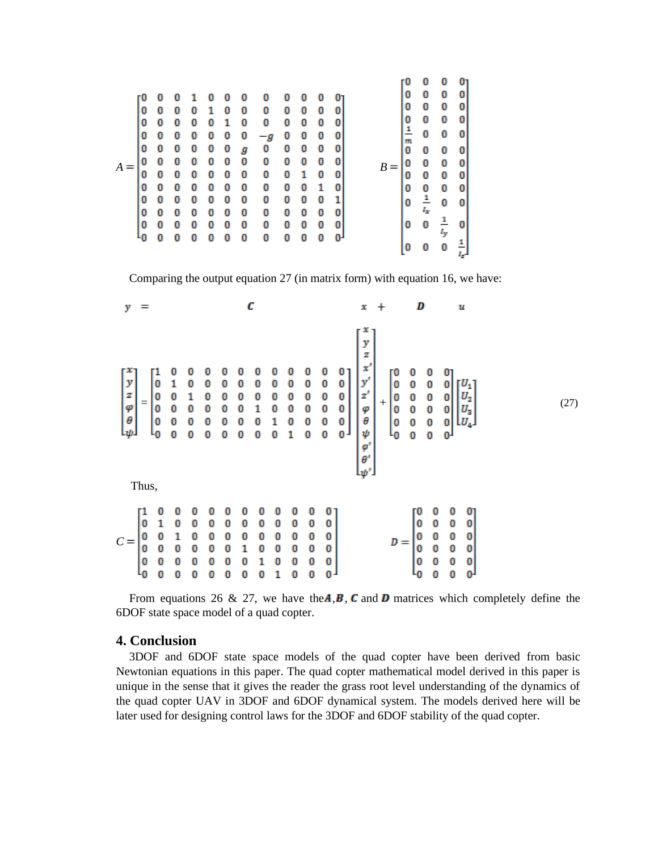|   |    |   |   |   |   |   |   |      |   |   |   |    |       | г0            | 0               | 0               | 01              |  |
|---|----|---|---|---|---|---|---|------|---|---|---|----|-------|---------------|-----------------|-----------------|-----------------|--|
|   | г0 | 0 |   |   |   |   | 0 | 0    | 0 | 0 | 0 | 01 |       | 0             | 0               | 0               | 0               |  |
| A | 0  | 0 | 0 | 0 | 1 | 0 | 0 | 0    | 0 | 0 | 0 | 0  |       | 0             | 0               | 0               | 0               |  |
|   | 0  | 0 | 0 | 0 | 0 | 1 | 0 | 0    | 0 | 0 | 0 | 0  |       | 0             | 0               | 0               | 0               |  |
|   | 0  | 0 | 0 | 0 | 0 | 0 | 0 | $-g$ | 0 | 0 | 0 | 0  |       | $\frac{1}{m}$ | 0               | 0               | 0               |  |
|   | 0  | 0 | 0 | 0 | 0 | 0 | g | 0    | 0 | 0 | 0 | 0  |       | 0             | 0               | 0               | 0               |  |
|   | 0  | 0 | 0 | 0 | 0 | 0 | 0 | 0    | 0 | 0 | 0 | 0  | $B =$ | 0             | 0               | 0               | 0               |  |
|   | 0  | 0 | 0 | 0 | 0 | 0 | 0 | 0    | 0 | 1 | 0 | 0  |       | 0             | 0               | 0               | 0               |  |
|   | 0  | 0 | 0 | 0 | 0 | 0 | 0 | 0    | 0 | 0 | 1 | 0  |       | 0             |                 | 0               | 0               |  |
|   | 0  | 0 | 0 | 0 | 0 | 0 | 0 | 0    | 0 | 0 | 0 | 1  |       | 0             | $\frac{0}{l_x}$ | 0               | 0               |  |
|   | 0  | 0 | 0 | 0 | 0 | 0 | 0 | 0    | 0 | 0 | 0 | 0  |       |               |                 |                 |                 |  |
|   | 0  | 0 | 0 | 0 | 0 | 0 | 0 | 0    | 0 | 0 | 0 | 0  |       | 0             | $\mathbf 0$     | $\frac{1}{l_y}$ | 0               |  |
|   | L0 | 0 | 0 | 0 | 0 | 0 | 0 | 0    | 0 | 0 | 0 | 0  |       |               |                 |                 |                 |  |
|   |    |   |   |   |   |   |   |      |   |   |   |    |       | 0             | 0               | 0               | $\frac{1}{l_z}$ |  |
|   |    |   |   |   |   |   |   |      |   |   |   |    |       |               |                 |                 |                 |  |

Comparing the output equation 27 (in matrix form) with equation 16, we have:

$$
y = C \t\t x + D \t u
$$
  
\n
$$
\begin{bmatrix} x \\ y \\ z \\ z \\ \theta \\ \psi \end{bmatrix} = \begin{bmatrix} 1 & 0 & 0 & 0 & 0 & 0 & 0 & 0 & 0 & 0 & 0 & 0 \\ 0 & 1 & 0 & 0 & 0 & 0 & 0 & 0 & 0 & 0 & 0 \\ 0 & 0 & 1 & 0 & 0 & 0 & 0 & 0 & 0 & 0 & 0 & 0 \\ 0 & 0 & 0 & 0 & 0 & 0 & 1 & 0 & 0 & 0 & 0 & 0 \\ 0 & 0 & 0 & 0 & 0 & 0 & 1 & 0 & 0 & 0 & 0 & 0 \\ 0 & 0 & 0 & 0 & 0 & 0 & 0 & 1 & 0 & 0 & 0 & 0 \end{bmatrix} \begin{bmatrix} x \\ y \\ z \\ z' \\ z' \\ \phi \\ \psi \end{bmatrix} + \begin{bmatrix} 0 & 0 & 0 & 0 & 0 & 0 & 0 & 0 \\ 0 & 0 & 0 & 0 & 0 & 0 & 0 & 0 \\ 0 & 0 & 0 & 0 & 0 & 0 & 0 & 0 \\ 0 & 0 & 0 & 0 & 0 & 0 & 0 & 0 \\ 0 & 0 & 0 & 0 & 0 & 0 & 0 & 0 & 0 \\ 0 & 0 & 0 & 0 & 0 & 0 & 0 & 0 & 0 & 0 \\ 0 & 0 & 0 & 0 & 0 & 0 & 0 & 0 & 0 & 0 \\ 0 & 0 & 0 & 0 & 0 & 0 & 0 & 0 & 0 & 0 \\ 0 & 0 & 0 & 0 & 0 & 0 & 0 & 0 & 0 & 0 & 0 \\ 0 & 0 & 0 & 0 & 0 & 0 & 0 & 1 & 0 & 0 & 0 & 0 \\ 0 & 0 & 0 & 0 & 0 & 0 & 0 & 1 & 0 & 0 & 0 & 0 \end{bmatrix} \t\t x + D \t\t u
$$
  
\nThus,  
\n
$$
C = \begin{bmatrix} 1 & 0 & 0 & 0 & 0 & 0 & 0 & 0 & 0 & 0 & 0 & 0 & 0 \\ 0 & 1 & 0 & 0 & 0 & 0 & 0 & 0 & 0 & 0 & 0 & 0 \\ 0 & 0 & 0 & 0 & 0 & 0
$$

From equations 26 & 27, we have the  $A, B, C$  and D matrices which completely define the 6DOF state space model of a quad copter.

# **4. Conclusion**

3DOF and 6DOF state space models of the quad copter have been derived from basic Newtonian equations in this paper. The quad copter mathematical model derived in this paper is unique in the sense that it gives the reader the grass root level understanding of the dynamics of the quad copter UAV in 3DOF and 6DOF dynamical system. The models derived here will be later used for designing control laws for the 3DOF and 6DOF stability of the quad copter.